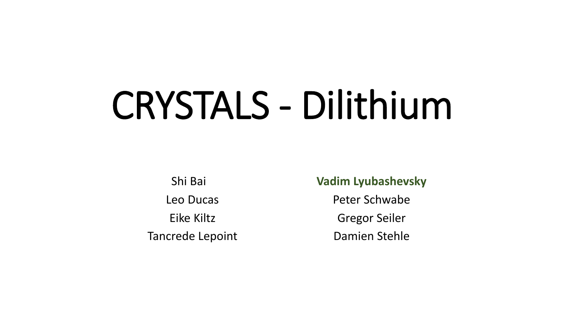# CRYSTALS - Dilithium

Shi Bai Leo Ducas Eike Kiltz Tancrede Lepoint **Vadim Lyubashevsky**

Peter Schwabe

Gregor Seiler

Damien Stehle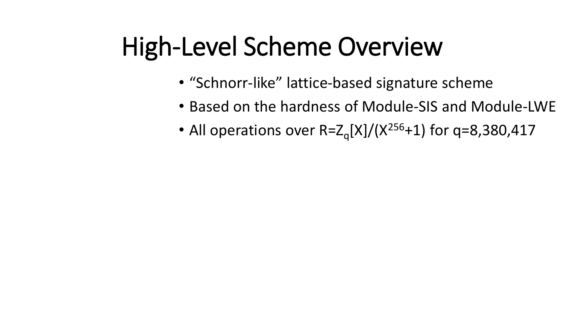- "Schnorr-like" lattice-based signature scheme
- Based on the hardness of Module-SIS and Module-LWE
- All operations over  $R = Z_q[X]/(X^{256}+1)$  for q=8,380,417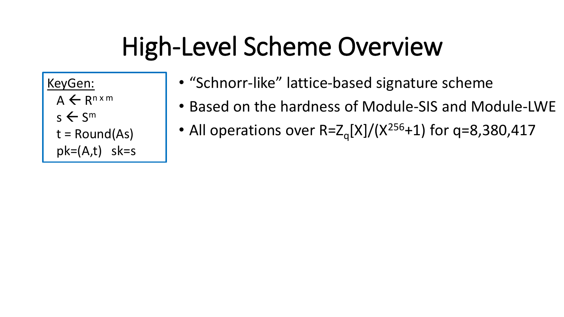KeyGen:

 $A \leftarrow R^{n \times m}$ 

 $s \leftarrow S^m$ 

 $t = Round(As)$ 

pk=(A,t) sk=s

- "Schnorr-like" lattice-based signature scheme
- Based on the hardness of Module-SIS and Module-LWE
- All operations over  $R = Z_q[X]/(X^{256}+1)$  for q=8,380,417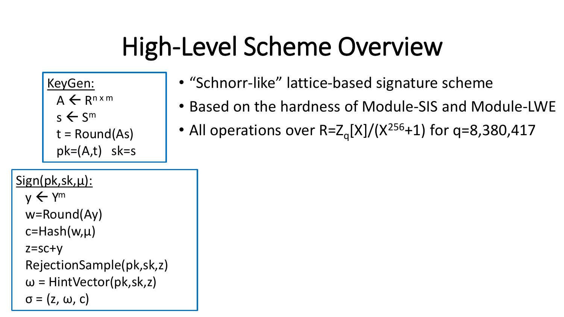KeyGen:

- $A \leftarrow R^{n \times m}$
- $s \leftarrow S^m$

 $t = Round(As)$ 

- $pk=(A,t)$  sk=s
- Sign(pk,sk,μ):  $y \leftarrow$  Y<sup>m</sup> w=Round(Ay)  $c=Hash(w,\mu)$ 
	- z=sc+y
	- RejectionSample(pk,sk,z)
	- $\omega$  = HintVector(pk,sk,z)

 $\sigma = (z, \omega, c)$ 

- "Schnorr-like" lattice-based signature scheme
- Based on the hardness of Module-SIS and Module-LWE
- All operations over  $R = Z_q[X]/(X^{256}+1)$  for q=8,380,417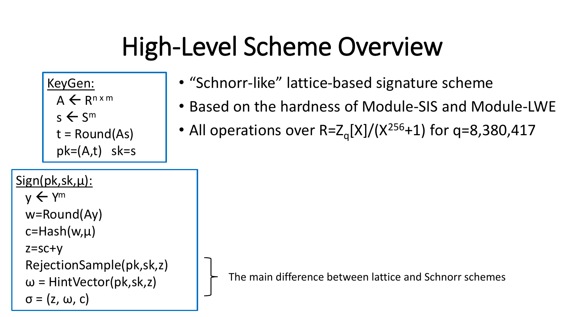KeyGen:

 $A \leftarrow R^{n \times m}$ 

 $s \leftarrow S^m$ 

 $t = Round(As)$ 

pk=(A,t) sk=s

- "Schnorr-like" lattice-based signature scheme
- Based on the hardness of Module-SIS and Module-LWE
- All operations over  $R = Z_q[X]/(X^{256}+1)$  for q=8,380,417
- Sign(pk,sk,μ):  $y \leftarrow$  Y<sup>m</sup> w=Round(Ay)  $c=Hash(w,\mu)$ z=sc+y RejectionSample(pk,sk,z)  $\omega$  = HintVector(pk,sk,z)  $\sigma$  = (z, ω, c)

The main difference between lattice and Schnorr schemes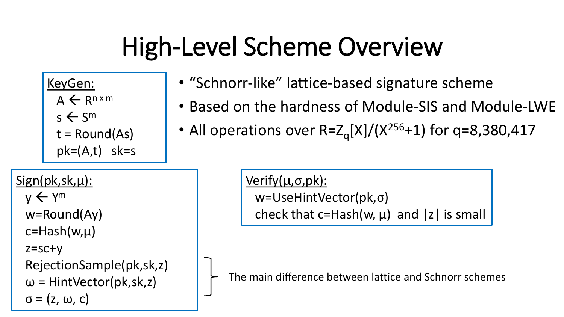KeyGen:

 $A \leftarrow R^{n \times m}$ 

 $s \leftarrow S^m$ 

 $t = Round(As)$ 

 $pk=(A,t)$  sk=s

• "Schnorr-like" lattice-based signature scheme

- Based on the hardness of Module-SIS and Module-LWE
- All operations over  $R = Z_q[X]/(X^{256}+1)$  for q=8,380,417

Sign(pk,sk,μ):  $y \leftarrow$  Y<sup>m</sup> w=Round(Ay)  $c=Hash(w,\mu)$ z=sc+y RejectionSample(pk,sk,z)  $\omega$  = HintVector(pk,sk,z)  $\sigma$  = (z, ω, c)

Verify(μ,σ,pk): w=UseHintVector(pk,σ) check that c=Hash(w,  $\mu$ ) and |z| is small

The main difference between lattice and Schnorr schemes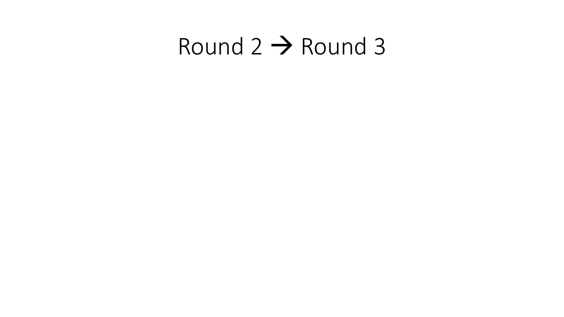## Round 2 → Round 3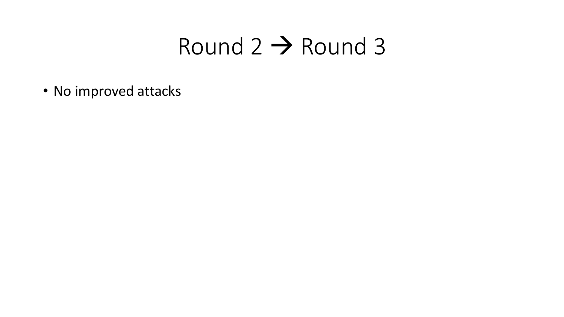### Round 2 → Round 3

• No improved attacks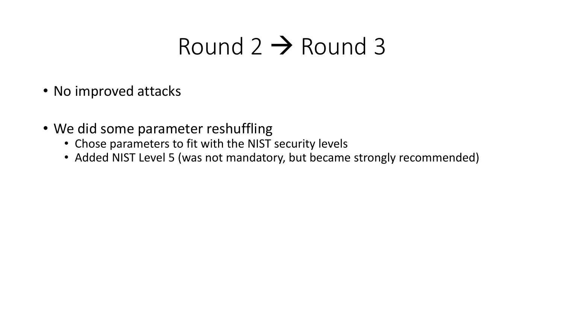## Round  $2 \rightarrow$  Round 3

- No improved attacks
- We did some parameter reshuffling
	- Chose parameters to fit with the NIST security levels
	- Added NIST Level 5 (was not mandatory, but became strongly recommended)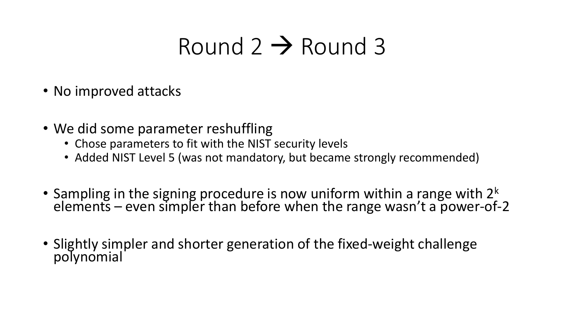## Round  $2 \rightarrow$  Round 3

- No improved attacks
- We did some parameter reshuffling
	- Chose parameters to fit with the NIST security levels
	- Added NIST Level 5 (was not mandatory, but became strongly recommended)
- Sampling in the signing procedure is now uniform within a range with  $2<sup>k</sup>$ elements – even simpler than before when the range wasn't a power-of-2
- Slightly simpler and shorter generation of the fixed-weight challenge polynomial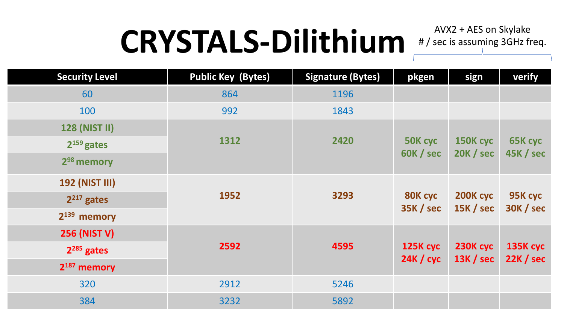# CRYSTALS-Dilithium #/sec is assuming 3GHz freq.

| <b>Security Level</b>   | <b>Public Key (Bytes)</b> | <b>Signature (Bytes)</b> | pkgen            | sign             | verify           |
|-------------------------|---------------------------|--------------------------|------------------|------------------|------------------|
| 60                      | 864                       | 1196                     |                  |                  |                  |
| 100                     | 992                       | 1843                     |                  |                  |                  |
| <b>128 (NIST II)</b>    |                           |                          |                  |                  |                  |
| $2^{159}$ gates         | 1312                      | 2420                     | 50K cyc          | 150K cyc         | 65K cyc          |
| 2 <sup>98</sup> memory  |                           |                          | 60K / sec        | <b>20K / sec</b> | 45K / sec        |
| <b>192 (NIST III)</b>   |                           |                          |                  |                  |                  |
| $2^{217}$ gates         | 1952                      | 3293                     | 80K cyc          | 200K cyc         | 95K cyc          |
| $2^{139}$ memory        |                           |                          | <b>35K / sec</b> | 15K / sec        | <b>30K / sec</b> |
| <b>256 (NIST V)</b>     |                           |                          |                  |                  |                  |
| $2^{285}$ gates         | 2592                      | 4595                     | 125K cyc         | 230K cyc         | <b>135K cyc</b>  |
| 2 <sup>187</sup> memory |                           |                          | 24K / cyc        | 13K / sec        | 22K / sec        |
| 320                     | 2912                      | 5246                     |                  |                  |                  |
| 384                     | 3232                      | 5892                     |                  |                  |                  |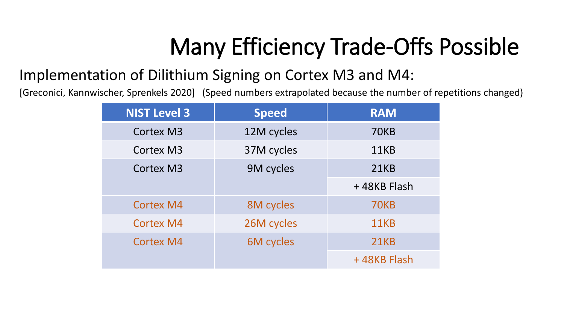## Many Efficiency Trade-Offs Possible

### Implementation of Dilithium Signing on Cortex M3 and M4:

[Greconici, Kannwischer, Sprenkels 2020] (Speed numbers extrapolated because the number of repetitions changed)

| <b>NIST Level 3</b> | <b>Speed</b>     | <b>RAM</b>  |
|---------------------|------------------|-------------|
| <b>Cortex M3</b>    | 12M cycles       | <b>70KB</b> |
| <b>Cortex M3</b>    | 37M cycles       | 11KB        |
| <b>Cortex M3</b>    | 9M cycles        | <b>21KB</b> |
|                     |                  | +48KB Flash |
| <b>Cortex M4</b>    | 8M cycles        | <b>70KB</b> |
| <b>Cortex M4</b>    | 26M cycles       | 11KB        |
| <b>Cortex M4</b>    | <b>6M</b> cycles | <b>21KB</b> |
|                     |                  | +48KB Flash |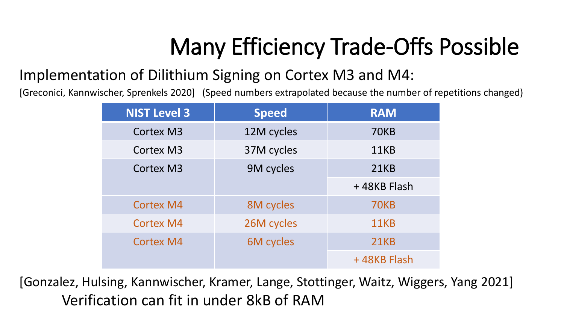## Many Efficiency Trade-Offs Possible

### Implementation of Dilithium Signing on Cortex M3 and M4:

[Greconici, Kannwischer, Sprenkels 2020] (Speed numbers extrapolated because the number of repetitions changed)

| <b>NIST Level 3</b> | <b>Speed</b>     | <b>RAM</b>  |
|---------------------|------------------|-------------|
| <b>Cortex M3</b>    | 12M cycles       | <b>70KB</b> |
| <b>Cortex M3</b>    | 37M cycles       | 11KB        |
| <b>Cortex M3</b>    | 9M cycles        | <b>21KB</b> |
|                     |                  | +48KB Flash |
| <b>Cortex M4</b>    | 8M cycles        | <b>70KB</b> |
| <b>Cortex M4</b>    | 26M cycles       | 11KB        |
| <b>Cortex M4</b>    | <b>6M</b> cycles | <b>21KB</b> |
|                     |                  | +48KB Flash |

[Gonzalez, Hulsing, Kannwischer, Kramer, Lange, Stottinger, Waitz, Wiggers, Yang 2021] Verification can fit in under 8kB of RAM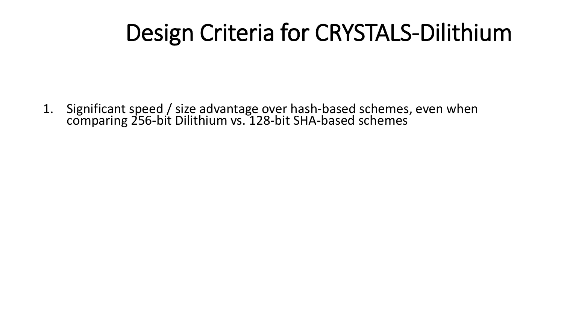1. Significant speed / size advantage over hash-based schemes, even when comparing 256-bit Dilithium vs. 128-bit SHA-based schemes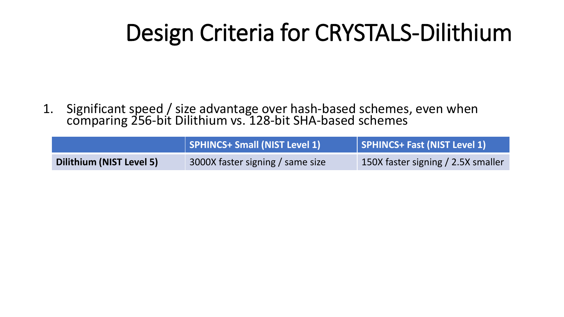1. Significant speed / size advantage over hash-based schemes, even when comparing 256-bit Dilithium vs. 128-bit SHA-based schemes

|                          | SPHINCS+ Small (NIST Level 1)    | SPHINCS+ Fast (NIST Level 1)       |
|--------------------------|----------------------------------|------------------------------------|
| Dilithium (NIST Level 5) | 3000X faster signing / same size | 150X faster signing / 2.5X smaller |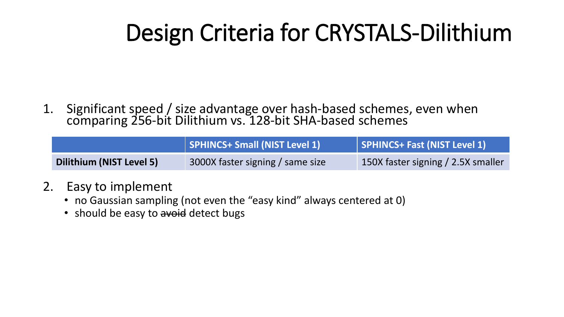1. Significant speed / size advantage over hash-based schemes, even when comparing 256-bit Dilithium vs. 128-bit SHA-based schemes

|                          | SPHINCS+ Small (NIST Level 1)    | SPHINCS+ Fast (NIST Level 1)       |
|--------------------------|----------------------------------|------------------------------------|
| Dilithium (NIST Level 5) | 3000X faster signing / same size | 150X faster signing / 2.5X smaller |

- 2. Easy to implement
	- no Gaussian sampling (not even the "easy kind" always centered at 0)
	- should be easy to avoid detect bugs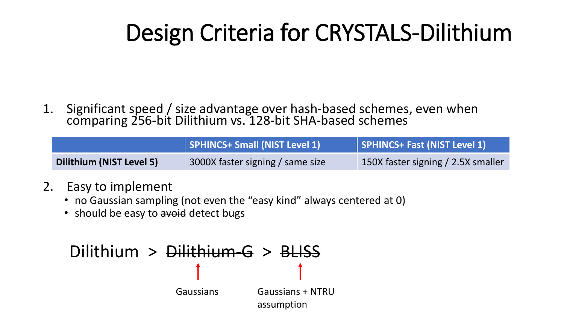1. Significant speed / size advantage over hash-based schemes, even when comparing 256-bit Dilithium vs. 128-bit SHA-based schemes

|                          | SPHINCS+ Small (NIST Level 1)    | SPHINCS+ Fast (NIST Level 1)       |
|--------------------------|----------------------------------|------------------------------------|
| Dilithium (NIST Level 5) | 3000X faster signing / same size | 150X faster signing / 2.5X smaller |

- 2. Easy to implement
	- no Gaussian sampling (not even the "easy kind" always centered at 0)
	- should be easy to avoid detect bugs

### Dilithium > Dilithium-G > BLISS Gaussians Gaussians + NTRU assumption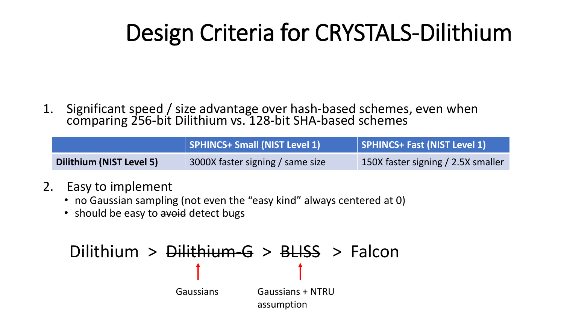1. Significant speed / size advantage over hash-based schemes, even when comparing 256-bit Dilithium vs. 128-bit SHA-based schemes

|                                 | SPHINCS+ Small (NIST Level 1)    | SPHINCS+ Fast (NIST Level 1)       |
|---------------------------------|----------------------------------|------------------------------------|
| <b>Dilithium (NIST Level 5)</b> | 3000X faster signing / same size | 150X faster signing / 2.5X smaller |

- 2. Easy to implement
	- no Gaussian sampling (not even the "easy kind" always centered at 0)
	- should be easy to avoid detect bugs

## Dilithium > Dilithium-G > BLISS > Falcon

Gaussians Gaussians + NTRU assumption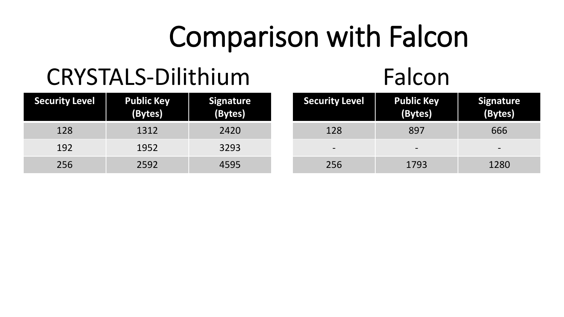## CRYSTALS-Dilithium Falcon

| <b>Security Level</b> | <b>Public Key</b><br>(Bytes) | Signature<br>(Bytes) |
|-----------------------|------------------------------|----------------------|
| 128                   | 1312                         | 2420                 |
| 192                   | 1952                         | 3293                 |
| 256                   | 2592                         | 4595                 |

| <b>Security Level</b> | <b>Public Key</b><br>(Bytes) | <b>Signature</b><br>(Bytes) |
|-----------------------|------------------------------|-----------------------------|
| 128                   | 897                          | 666                         |
|                       |                              |                             |
| 256                   | 1793                         | 1280                        |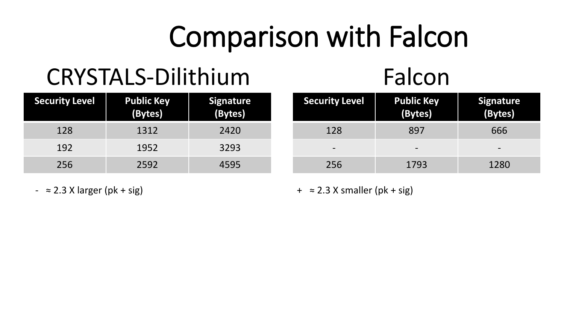## CRYSTALS-Dilithium Falcon

| <b>Security Level</b> | <b>Public Key</b><br>(Bytes) | Signature<br>(Bytes) |
|-----------------------|------------------------------|----------------------|
| 128                   | 1312                         | 2420                 |
| 192                   | 1952                         | 3293                 |
| 256                   | 2592                         | 4595                 |

| <b>Security Level</b> | <b>Public Key</b><br>(Bytes) | <b>Signature</b><br>(Bytes) |
|-----------------------|------------------------------|-----------------------------|
| 128                   | 897                          | 666                         |
|                       |                              |                             |
| 256                   | 1793                         | 1280                        |

 $-$  ≈ 2.3 X larger (pk + sig)  $+$  ≈ 2.3 X smaller (pk + sig)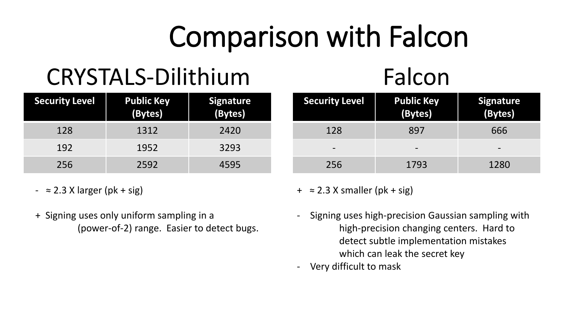## CRYSTALS-Dilithium Falcon

| <b>Security Level</b> | <b>Public Key</b><br>(Bytes) | <b>Signature</b><br>(Bytes) |
|-----------------------|------------------------------|-----------------------------|
| 128                   | 1312                         | 2420                        |
| 192                   | 1952                         | 3293                        |
| 256                   | 2592                         | 4595                        |

- $\approx$  2.3 X larger (pk + sig)
- + Signing uses only uniform sampling in a (power-of-2) range. Easier to detect bugs.

#### **Security Level | Public Key (Bytes) Signature (Bytes)** 128 897 666 - - - 256 1793 1280

 $+ \approx 2.3$  X smaller (pk + sig)

- Signing uses high-precision Gaussian sampling with high-precision changing centers. Hard to detect subtle implementation mistakes which can leak the secret key
- Very difficult to mask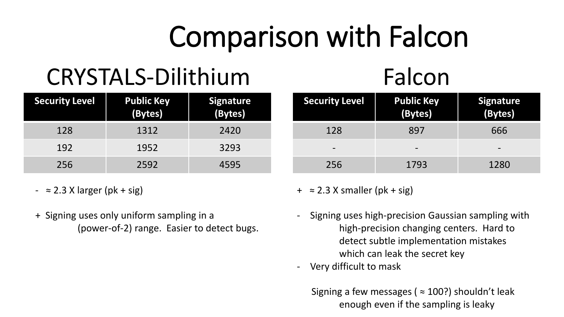## CRYSTALS-Dilithium Falcon

| <b>Public Key</b><br>(Bytes) | <b>Signature</b><br>(Bytes) |
|------------------------------|-----------------------------|
| 1312                         | 2420                        |
| 1952                         | 3293                        |
| 2592                         | 4595                        |
|                              |                             |

- $\approx$  2.3 X larger (pk + sig)
- + Signing uses only uniform sampling in a (power-of-2) range. Easier to detect bugs.

| <b>Security Level</b> | <b>Public Key</b><br>(Bytes) | Signature<br>(Bytes) |
|-----------------------|------------------------------|----------------------|
| 128                   | 897                          | 666                  |
|                       |                              |                      |
| 256                   | 1793                         | 1280                 |

 $+ \approx 2.3$  X smaller (pk + sig)

- Signing uses high-precision Gaussian sampling with high-precision changing centers. Hard to detect subtle implementation mistakes which can leak the secret key
- Very difficult to mask

Signing a few messages ( $\approx 100$ ?) shouldn't leak enough even if the sampling is leaky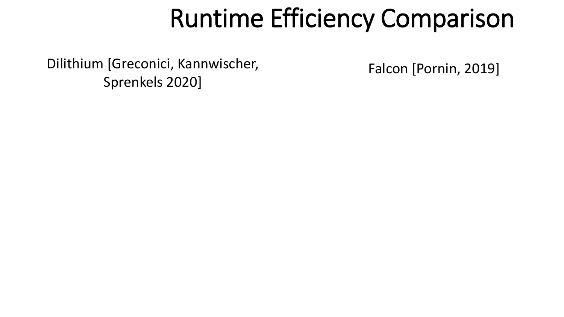Dilithium [Greconici, Kannwischer, Sprenkels 2020]

Falcon [Pornin, 2019]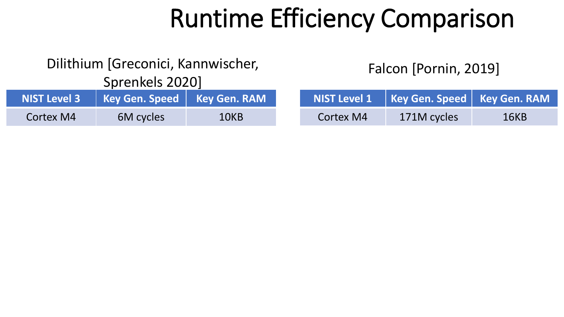#### Dilithium [Greconici, Kannwischer,

Sprenkels 2020]

|           | NIST Level 3   Key Gen. Speed   Key Gen. RAM |      |
|-----------|----------------------------------------------|------|
| Cortex M4 | 6M cycles                                    | 10KB |

Falcon [Pornin, 2019]

|                  | NIST Level 1   Key Gen. Speed   Key Gen. RAM |      |
|------------------|----------------------------------------------|------|
| <b>Cortex M4</b> | 171M cycles                                  | 16KB |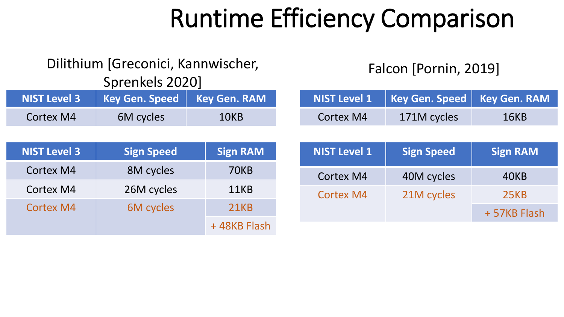#### Dilithium [Greconici, Kannwischer,

Sprenkels 2020]

|           | NIST Level 3   Key Gen. Speed   Key Gen. RAM |      |
|-----------|----------------------------------------------|------|
| Cortex M4 | 6M cycles                                    | 10KB |

| <b>NIST Level 3</b> | <b>Sign Speed</b> | <b>Sign RAM</b> |
|---------------------|-------------------|-----------------|
| <b>Cortex M4</b>    | 8M cycles         | 70KB            |
| Cortex M4           | 26M cycles        | 11KB            |
| <b>Cortex M4</b>    | 6M cycles         | <b>21KB</b>     |
|                     |                   | +48KB Flash     |

### Falcon [Pornin, 2019]

|           | NIST Level 1 Key Gen. Speed   Key Gen. RAM |      |
|-----------|--------------------------------------------|------|
| Cortex M4 | 171M cycles                                | 16KB |

| <b>NIST Level 1</b> | <b>Sign Speed</b> | <b>Sign RAM</b> |  |
|---------------------|-------------------|-----------------|--|
| Cortex M4           | 40M cycles        | 40KB            |  |
| Cortex M4           | 21M cycles        | <b>25KB</b>     |  |
|                     |                   | +57KB Flash     |  |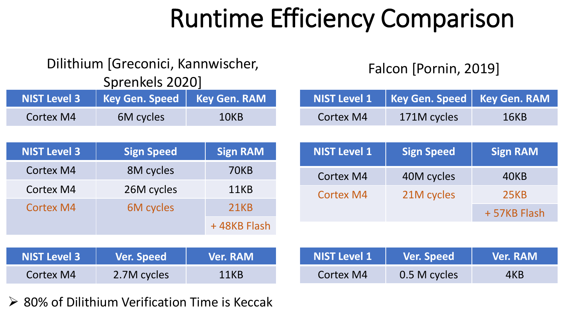#### Dilithium [Greconici, Kannwischer,

Sprenkels 2020]

Falcon [Pornin, 2019]

| <b>NIST Level 3</b> | <b>Key Gen. Speed</b> | <b>Key Gen. RAM</b> | <b>NIST Level 1</b> | <b>Key Gen. Speed</b> | <b>Key Gen. RAM</b> |
|---------------------|-----------------------|---------------------|---------------------|-----------------------|---------------------|
| <b>Cortex M4</b>    | 6M cycles             | 10KB                | <b>Cortex M4</b>    | 171M cycles           | <b>16KB</b>         |
|                     |                       |                     |                     |                       |                     |
| <b>NIST Level 3</b> | <b>Sign Speed</b>     | <b>Sign RAM</b>     | <b>NIST Level 1</b> | <b>Sign Speed</b>     | <b>Sign RAM</b>     |
| <b>Cortex M4</b>    | 8M cycles             | <b>70KB</b>         | <b>Cortex M4</b>    | 40M cycles            | 40KB                |
| Cortex M4           | 26M cycles            | 11KB                | <b>Cortex M4</b>    | 21M cycles            | <b>25KB</b>         |
| <b>Cortex M4</b>    | 6M cycles             | <b>21KB</b>         |                     |                       | +57KB Flash         |
|                     |                       | +48KB Flash         |                     |                       |                     |
|                     |                       |                     |                     |                       |                     |
| <b>NIST Level 3</b> | <b>Ver. Speed</b>     | <b>Ver. RAM</b>     | <b>NIST Level 1</b> | <b>Ver. Speed</b>     | <b>Ver. RAM</b>     |
| <b>Cortex M4</b>    | 2.7M cycles           | 11KB                | <b>Cortex M4</b>    | 0.5 M cycles          | 4KB                 |

➢ 80% of Dilithium Verification Time is Keccak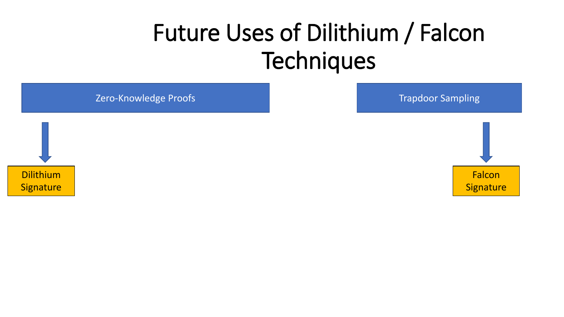**Zero-Knowledge Proofs Trapdoor Sampling** 



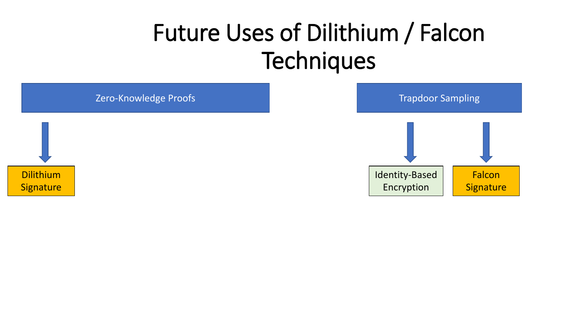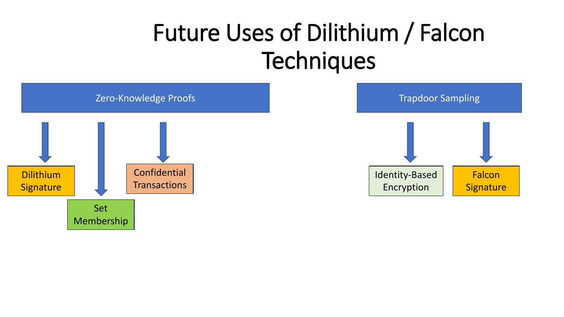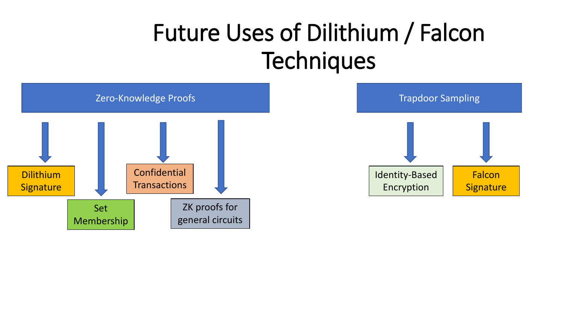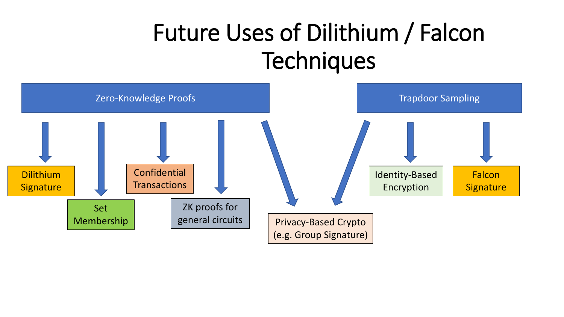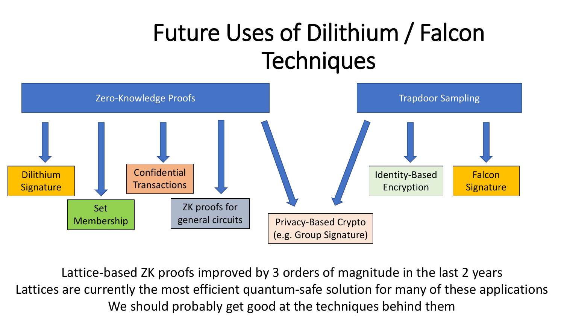

Lattice-based ZK proofs improved by 3 orders of magnitude in the last 2 years Lattices are currently the most efficient quantum-safe solution for many of these applications We should probably get good at the techniques behind them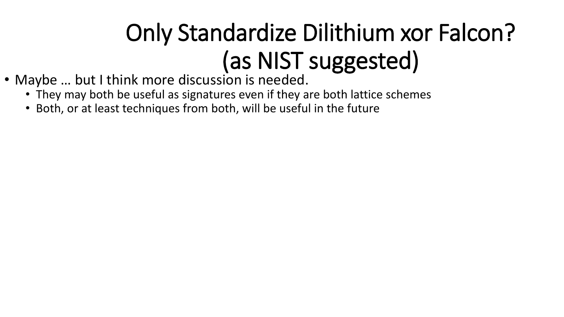- Maybe … but I think more discussion is needed.
	- They may both be useful as signatures even if they are both lattice schemes
	- Both, or at least techniques from both, will be useful in the future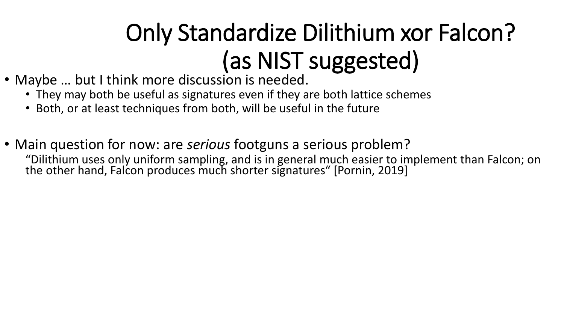- Maybe … but I think more discussion is needed.
	- They may both be useful as signatures even if they are both lattice schemes
	- Both, or at least techniques from both, will be useful in the future
- Main question for now: are *serious* footguns a serious problem? "Dilithium uses only uniform sampling, and is in general much easier to implement than Falcon; on the other hand, Falcon produces much shorter signatures" [Pornin, 2019]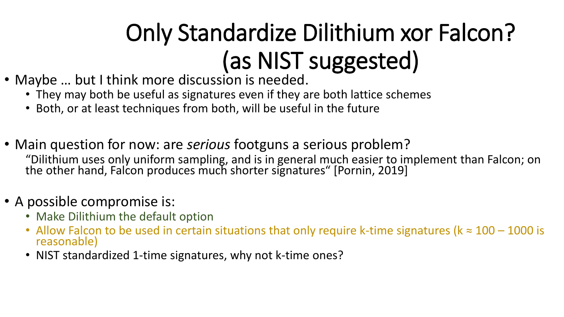- Maybe … but I think more discussion is needed.
	- They may both be useful as signatures even if they are both lattice schemes
	- Both, or at least techniques from both, will be useful in the future
- Main question for now: are *serious* footguns a serious problem? "Dilithium uses only uniform sampling, and is in general much easier to implement than Falcon; on the other hand, Falcon produces much shorter signatures" [Pornin, 2019]
- A possible compromise is:
	- Make Dilithium the default option
	- Allow Falcon to be used in certain situations that only require k-time signatures ( $k \approx 100 1000$  is reasonable)
	- NIST standardized 1-time signatures, why not k-time ones?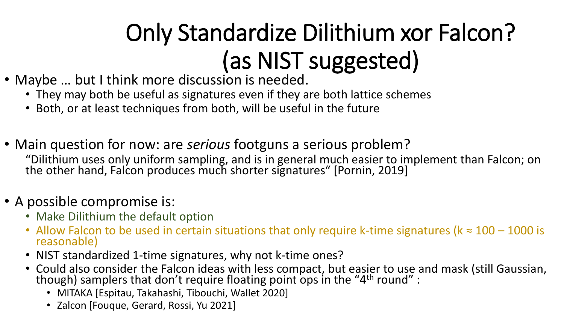- Maybe … but I think more discussion is needed.
	- They may both be useful as signatures even if they are both lattice schemes
	- Both, or at least techniques from both, will be useful in the future
- Main question for now: are *serious* footguns a serious problem? "Dilithium uses only uniform sampling, and is in general much easier to implement than Falcon; on the other hand, Falcon produces much shorter signatures" [Pornin, 2019]

### • A possible compromise is:

- Make Dilithium the default option
- Allow Falcon to be used in certain situations that only require k-time signatures ( $k \approx 100 1000$  is reasonable)
- NIST standardized 1-time signatures, why not k-time ones?
- Could also consider the Falcon ideas with less compact, but easier to use and mask (still Gaussian, though) samplers that don't require floating point ops in the "4th round" :
	- MITAKA [Espitau, Takahashi, Tibouchi, Wallet 2020]
	- Zalcon [Fouque, Gerard, Rossi, Yu 2021]